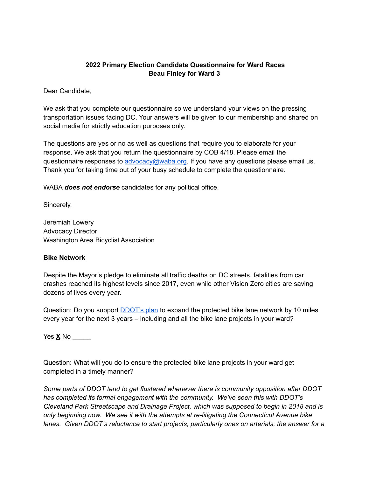# **2022 Primary Election Candidate Questionnaire for Ward Races Beau Finley for Ward 3**

Dear Candidate,

We ask that you complete our questionnaire so we understand your views on the pressing transportation issues facing DC. Your answers will be given to our membership and shared on social media for strictly education purposes only.

The questions are yes or no as well as questions that require you to elaborate for your response. We ask that you return the questionnaire by COB 4/18. Please email the questionnaire responses to [advocacy@waba.org.](mailto:jeremiah.lowery@waba.org) If you have any questions please email us. Thank you for taking time out of your busy schedule to complete the questionnaire.

WABA *does not endorse* candidates for any political office.

Sincerely,

Jeremiah Lowery Advocacy Director Washington Area Bicyclist Association

#### **Bike Network**

Despite the Mayor's pledge to eliminate all traffic deaths on DC streets, fatalities from car crashes reached its highest levels since 2017, even while other Vision Zero cities are saving dozens of lives every year.

Question: Do you support **[DDOT's plan](https://ddot.dc.gov/page/bicycle-lanes)** to expand the protected bike lane network by 10 miles every year for the next 3 years – including and all the bike lane projects in your ward?

Yes **X** No \_\_\_\_\_

Question: What will you do to ensure the protected bike lane projects in your ward get completed in a timely manner?

*Some parts of DDOT tend to get flustered whenever there is community opposition after DDOT has completed its formal engagement with the community. We've seen this with DDOT's Cleveland Park Streetscape and Drainage Project, which was supposed to begin in 2018 and is only beginning now. We see it with the attempts at re-litigating the Connecticut Avenue bike lanes. Given DDOT's reluctance to start projects, particularly ones on arterials, the answer for a*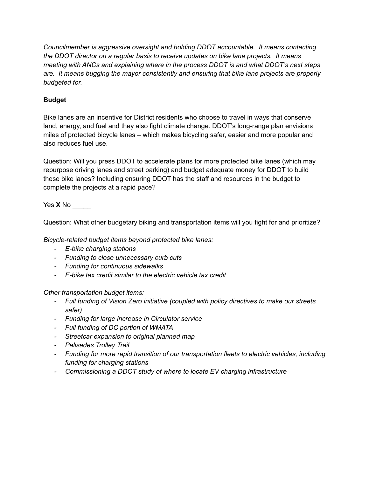*Councilmember is aggressive oversight and holding DDOT accountable. It means contacting the DDOT director on a regular basis to receive updates on bike lane projects. It means meeting with ANCs and explaining where in the process DDOT is and what DDOT's next steps are. It means bugging the mayor consistently and ensuring that bike lane projects are properly budgeted for.*

# **Budget**

Bike lanes are an incentive for District residents who choose to travel in ways that conserve land, energy, and fuel and they also fight climate change. DDOT's long-range plan envisions miles of protected bicycle lanes – which makes bicycling safer, easier and more popular and also reduces fuel use.

Question: Will you press DDOT to accelerate plans for more protected bike lanes (which may repurpose driving lanes and street parking) and budget adequate money for DDOT to build these bike lanes? Including ensuring DDOT has the staff and resources in the budget to complete the projects at a rapid pace?

Yes **X** No \_\_\_\_\_

Question: What other budgetary biking and transportation items will you fight for and prioritize?

*Bicycle-related budget items beyond protected bike lanes:*

- *E-bike charging stations*
- *Funding to close unnecessary curb cuts*
- *Funding for continuous sidewalks*
- *E-bike tax credit similar to the electric vehicle tax credit*

*Other transportation budget items:*

- *Full funding of Vision Zero initiative (coupled with policy directives to make our streets safer)*
- *Funding for large increase in Circulator service*
- *Full funding of DC portion of WMATA*
- *Streetcar expansion to original planned map*
- *Palisades Trolley Trail*
- *Funding for more rapid transition of our transportation fleets to electric vehicles, including funding for charging stations*
- *Commissioning a DDOT study of where to locate EV charging infrastructure*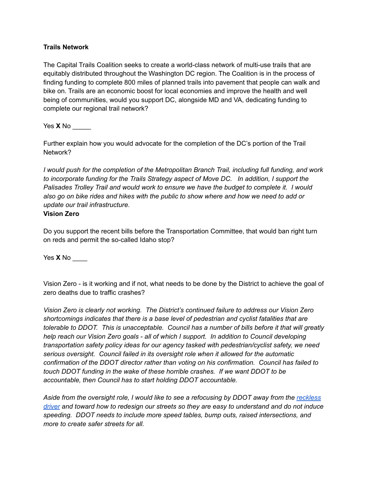### **Trails Network**

The Capital Trails Coalition seeks to create a world-class network of multi-use trails that are equitably distributed throughout the Washington DC region. The Coalition is in the process of finding funding to complete 800 miles of planned trails into pavement that people can walk and bike on. Trails are an economic boost for local economies and improve the health and well being of communities, would you support DC, alongside MD and VA, dedicating funding to complete our regional trail network?

Yes **X** No \_\_\_\_\_

Further explain how you would advocate for the completion of the DC's portion of the Trail Network?

*I would push for the completion of the Metropolitan Branch Trail, including full funding, and work to incorporate funding for the Trails Strategy aspect of Move DC. In addition, I support the Palisades Trolley Trail and would work to ensure we have the budget to complete it. I would also go on bike rides and hikes with the public to show where and how we need to add or update our trail infrastructure.*

#### **Vision Zero**

Do you support the recent bills before the Transportation Committee, that would ban right turn on reds and permit the so-called Idaho stop?

Yes **X** No \_\_\_\_

Vision Zero - is it working and if not, what needs to be done by the District to achieve the goal of zero deaths due to traffic crashes?

*Vision Zero is clearly not working. The District's continued failure to address our Vision Zero shortcomings indicates that there is a base level of pedestrian and cyclist fatalities that are tolerable to DDOT. This is unacceptable. Council has a number of bills before it that will greatly help reach our Vision Zero goals - all of which I support. In addition to Council developing transportation safety policy ideas for our agency tasked with pedestrian/cyclist safety, we need serious oversight. Council failed in its oversight role when it allowed for the automatic confirmation of the DDOT director rather than voting on his confirmation. Council has failed to touch DDOT funding in the wake of these horrible crashes. If we want DDOT to be accountable, then Council has to start holding DDOT accountable.*

Aside from the oversight role, I would like to see a refocusing by DDOT away from the [reckless](https://www.strongtowns.org/journal/2022/3/7/the-reckless-driver-narrative-is-reckless-stop-spreading-it) *[driver](https://www.strongtowns.org/journal/2022/3/7/the-reckless-driver-narrative-is-reckless-stop-spreading-it) and toward how to redesign our streets so they are easy to understand and do not induce speeding. DDOT needs to include more speed tables, bump outs, raised intersections, and more to create safer streets for all.*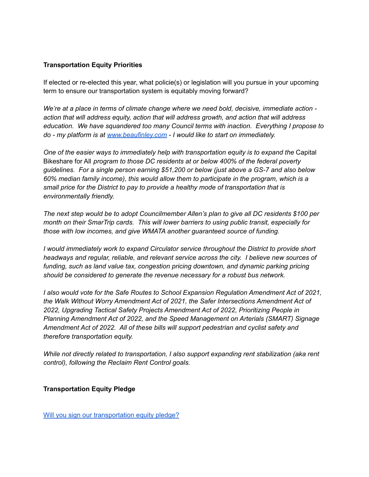# **Transportation Equity Priorities**

If elected or re-elected this year, what policie(s) or legislation will you pursue in your upcoming term to ensure our transportation system is equitably moving forward?

*We're at a place in terms of climate change where we need bold, decisive, immediate action action that will address equity, action that will address growth, and action that will address education. We have squandered too many Council terms with inaction. Everything I propose to do - my platform is at [www.beaufinley.com](http://www.beaufinley.com) - I would like to start on immediately.*

*One of the easier ways to immediately help with transportation equity is to expand the* Capital Bikeshare for All *program to those DC residents at or below 400% of the federal poverty guidelines. For a single person earning \$51,200 or below (just above a GS-7 and also below 60% median family income), this would allow them to participate in the program, which is a small price for the District to pay to provide a healthy mode of transportation that is environmentally friendly.*

*The next step would be to adopt Councilmember Allen's plan to give all DC residents \$100 per month on their SmarTrip cards. This will lower barriers to using public transit, especially for those with low incomes, and give WMATA another guaranteed source of funding.*

*I would immediately work to expand Circulator service throughout the District to provide short headways and regular, reliable, and relevant service across the city. I believe new sources of funding, such as land value tax, congestion pricing downtown, and dynamic parking pricing should be considered to generate the revenue necessary for a robust bus network.*

*I also would vote for the Safe Routes to School Expansion Regulation Amendment Act of 2021, the Walk Without Worry Amendment Act of 2021, the Safer Intersections Amendment Act of 2022, Upgrading Tactical Safety Projects Amendment Act of 2022, Prioritizing People in Planning Amendment Act of 2022, and the Speed Management on Arterials (SMART) Signage Amendment Act of 2022. All of these bills will support pedestrian and cyclist safety and therefore transportation equity.*

*While not directly related to transportation, I also support expanding rent stabilization (aka rent control), following the Reclaim Rent Control goals.*

#### **Transportation Equity Pledge**